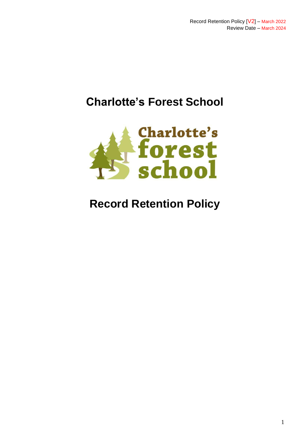# **Charlotte's Forest School**



# **Record Retention Policy**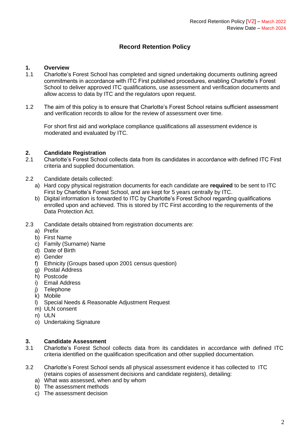## **Record Retention Policy**

### **1. Overview**

- 1.1 Charlotte's Forest School has completed and signed undertaking documents outlining agreed commitments in accordance with ITC First published procedures, enabling Charlotte's Forest School to deliver approved ITC qualifications, use assessment and verification documents and allow access to data by ITC and the regulators upon request.
- 1.2 The aim of this policy is to ensure that Charlotte's Forest School retains sufficient assessment and verification records to allow for the review of assessment over time.

For short first aid and workplace compliance qualifications all assessment evidence is moderated and evaluated by ITC.

#### **2. Candidate Registration**

- 2.1 Charlotte's Forest School collects data from its candidates in accordance with defined ITC First criteria and supplied documentation.
- 2.2 Candidate details collected:
	- a) Hard copy physical registration documents for each candidate are **required** to be sent to ITC First by Charlotte's Forest School, and are kept for 5 years centrally by ITC.
	- b) Digital information is forwarded to ITC by Charlotte's Forest School regarding qualifications enrolled upon and achieved. This is stored by ITC First according to the requirements of the Data Protection Act.
- 2.3 Candidate details obtained from registration documents are:
	- a) Prefix
	- b) First Name
	- c) Family (Surname) Name
	- d) Date of Birth
	- e) Gender
	- f) Ethnicity (Groups based upon 2001 census question)
	- g) Postal Address
	- h) Postcode
	- i) Email Address
	- j) Telephone
	- k) Mobile
	- l) Special Needs & Reasonable Adjustment Request
	- m) ULN consent
	- n) ULN
	- o) Undertaking Signature

### **3. Candidate Assessment**

- 3.1 Charlotte's Forest School collects data from its candidates in accordance with defined ITC criteria identified on the qualification specification and other supplied documentation.
- 3.2 Charlotte's Forest School sends all physical assessment evidence it has collected to ITC (retains copies of assessment decisions and candidate registers), detailing:
	- a) What was assessed, when and by whom
	- b) The assessment methods
	- c) The assessment decision